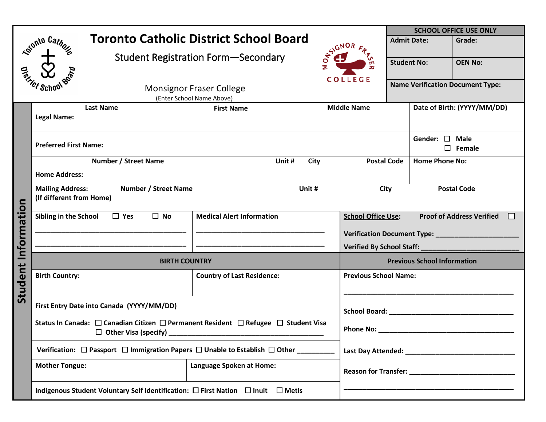|                 |                                                                                                                                          | <b>SCHOOL OFFICE USE ONLY</b>                  |                                    |                                                  |  |  |
|-----------------|------------------------------------------------------------------------------------------------------------------------------------------|------------------------------------------------|------------------------------------|--------------------------------------------------|--|--|
|                 | <b>Reforming</b> Cathoring                                                                                                               | <b>Toronto Catholic District School Board</b>  | <b>SYGNOR A</b>                    | <b>Admit Date:</b><br>Grade:                     |  |  |
|                 |                                                                                                                                          | <b>Student Registration Form-Secondary</b>     | m                                  | <b>OEN No:</b><br><b>Student No:</b>             |  |  |
|                 |                                                                                                                                          |                                                |                                    |                                                  |  |  |
| <b>Distance</b> |                                                                                                                                          |                                                | <b>COLLEGE</b>                     | <b>Name Verification Document Type:</b>          |  |  |
|                 | <b>Monsignor Fraser College</b>                                                                                                          |                                                |                                    |                                                  |  |  |
|                 | <b>Last Name</b>                                                                                                                         | (Enter School Name Above)<br><b>First Name</b> | <b>Middle Name</b>                 | Date of Birth: (YYYY/MM/DD)                      |  |  |
|                 | <b>Legal Name:</b>                                                                                                                       |                                                |                                    |                                                  |  |  |
|                 |                                                                                                                                          |                                                |                                    | Gender: □ Male                                   |  |  |
|                 | <b>Preferred First Name:</b>                                                                                                             |                                                |                                    | $\square$ Female                                 |  |  |
|                 | <b>Number / Street Name</b><br>Unit #                                                                                                    |                                                | City                               | <b>Postal Code</b><br><b>Home Phone No:</b>      |  |  |
|                 | <b>Home Address:</b>                                                                                                                     |                                                |                                    |                                                  |  |  |
|                 | <b>Mailing Address:</b><br><b>Number / Street Name</b><br>(If different from Home)                                                       | Unit #                                         | <b>Postal Code</b><br>City         |                                                  |  |  |
| Information     | $\Box$ No<br>Sibling in the School<br>$\square$ Yes                                                                                      | <b>Medical Alert Information</b>               | <b>School Office Use:</b>          | <b>Proof of Address Verified</b><br>$\mathsf{L}$ |  |  |
|                 |                                                                                                                                          |                                                |                                    |                                                  |  |  |
|                 |                                                                                                                                          |                                                |                                    | Verified By School Staff: ____________________   |  |  |
|                 | <b>BIRTH COUNTRY</b>                                                                                                                     |                                                | <b>Previous School Information</b> |                                                  |  |  |
| Student         | <b>Birth Country:</b>                                                                                                                    | <b>Country of Last Residence:</b>              |                                    | <b>Previous School Name:</b>                     |  |  |
|                 | First Entry Date into Canada (YYYY/MM/DD)                                                                                                |                                                |                                    |                                                  |  |  |
|                 | Status In Canada: $\Box$ Canadian Citizen $\Box$ Permanent Resident $\Box$ Refugee $\Box$ Student Visa<br>$\Box$ Other Visa (specify) __ |                                                | Phone No: _                        |                                                  |  |  |
|                 | Verification: $\Box$ Passport $\Box$ Immigration Papers $\Box$ Unable to Establish $\Box$ Other __________                               |                                                |                                    |                                                  |  |  |
|                 | <b>Mother Tongue:</b>                                                                                                                    | Language Spoken at Home:                       |                                    |                                                  |  |  |
|                 | Indigenous Student Voluntary Self Identification: □ First Nation □ Inuit □ Metis                                                         |                                                |                                    |                                                  |  |  |